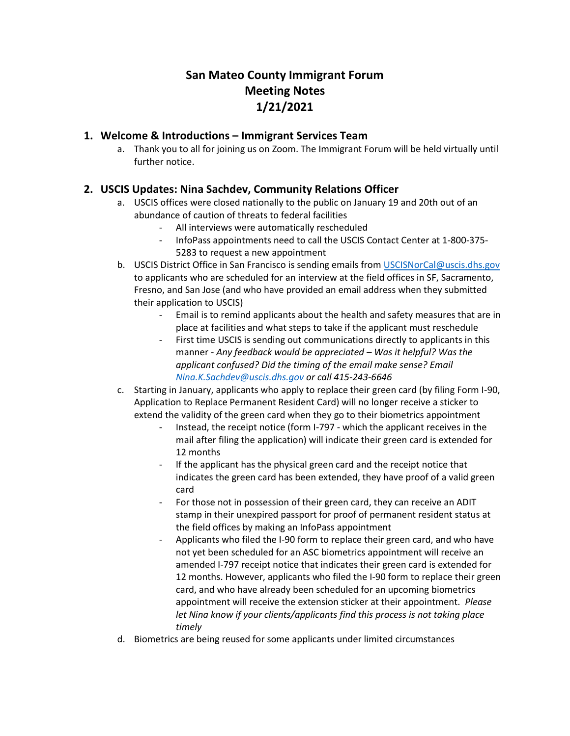# **San Mateo County Immigrant Forum Meeting Notes 1/21/2021**

## **1. Welcome & Introductions – Immigrant Services Team**

a. Thank you to all for joining us on Zoom. The Immigrant Forum will be held virtually until further notice.

# **2. USCIS Updates: Nina Sachdev, Community Relations Officer**

- a. USCIS offices were closed nationally to the public on January 19 and 20th out of an abundance of caution of threats to federal facilities
	- All interviews were automatically rescheduled
	- InfoPass appointments need to call the USCIS Contact Center at 1-800-375- 5283 to request a new appointment
- b. USCIS District Office in San Francisco is sending emails from [USCISNorCal@uscis.dhs.gov](mailto:USCISNorCal@uscis.dhs.gov) to applicants who are scheduled for an interview at the field offices in SF, Sacramento, Fresno, and San Jose (and who have provided an email address when they submitted their application to USCIS)
	- Email is to remind applicants about the health and safety measures that are in place at facilities and what steps to take if the applicant must reschedule
	- First time USCIS is sending out communications directly to applicants in this manner - *Any feedback would be appreciated – Was it helpful? Was the applicant confused? Did the timing of the email make sense? Email [Nina.K.Sachdev@uscis.dhs.gov](mailto:Nina.K.Sachdev@uscis.dhs.gov) or call 415-243-6646*
- c. Starting in January, applicants who apply to replace their green card (by filing Form I-90, Application to Replace Permanent Resident Card) will no longer receive a sticker to extend the validity of the green card when they go to their biometrics appointment
	- Instead, the receipt notice (form I-797 which the applicant receives in the mail after filing the application) will indicate their green card is extended for 12 months
	- If the applicant has the physical green card and the receipt notice that indicates the green card has been extended, they have proof of a valid green card
	- For those not in possession of their green card, they can receive an ADIT stamp in their unexpired passport for proof of permanent resident status at the field offices by making an InfoPass appointment
	- Applicants who filed the I-90 form to replace their green card, and who have not yet been scheduled for an ASC biometrics appointment will receive an amended I-797 receipt notice that indicates their green card is extended for 12 months. However, applicants who filed the I-90 form to replace their green card, and who have already been scheduled for an upcoming biometrics appointment will receive the extension sticker at their appointment. *Please let Nina know if your clients/applicants find this process is not taking place timely*
- d. Biometrics are being reused for some applicants under limited circumstances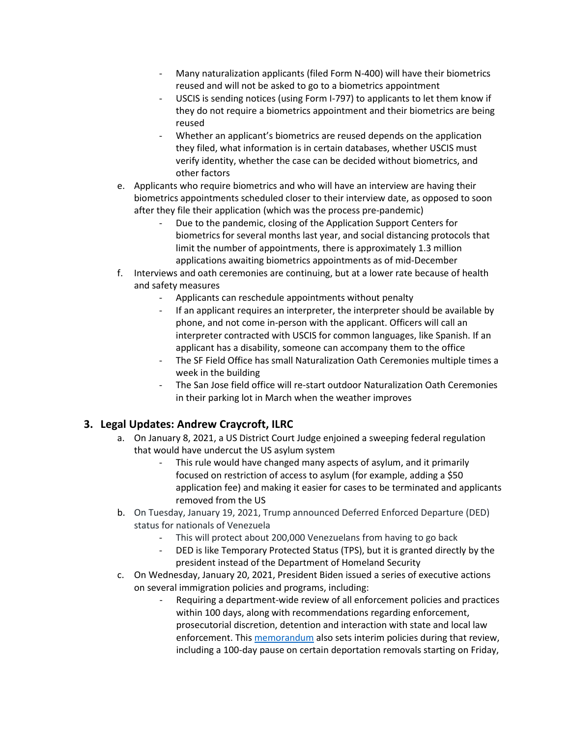- Many naturalization applicants (filed Form N-400) will have their biometrics reused and will not be asked to go to a biometrics appointment
- USCIS is sending notices (using Form I-797) to applicants to let them know if they do not require a biometrics appointment and their biometrics are being reused
- Whether an applicant's biometrics are reused depends on the application they filed, what information is in certain databases, whether USCIS must verify identity, whether the case can be decided without biometrics, and other factors
- e. Applicants who require biometrics and who will have an interview are having their biometrics appointments scheduled closer to their interview date, as opposed to soon after they file their application (which was the process pre-pandemic)
	- Due to the pandemic, closing of the Application Support Centers for biometrics for several months last year, and social distancing protocols that limit the number of appointments, there is approximately 1.3 million applications awaiting biometrics appointments as of mid-December
- f. Interviews and oath ceremonies are continuing, but at a lower rate because of health and safety measures
	- Applicants can reschedule appointments without penalty
	- If an applicant requires an interpreter, the interpreter should be available by phone, and not come in-person with the applicant. Officers will call an interpreter contracted with USCIS for common languages, like Spanish. If an applicant has a disability, someone can accompany them to the office
	- The SF Field Office has small Naturalization Oath Ceremonies multiple times a week in the building
	- The San Jose field office will re-start outdoor Naturalization Oath Ceremonies in their parking lot in March when the weather improves

## **3. Legal Updates: Andrew Craycroft, ILRC**

- a. On January 8, 2021, a US District Court Judge enjoined a sweeping federal regulation that would have undercut the US asylum system
	- This rule would have changed many aspects of asylum, and it primarily focused on restriction of access to asylum (for example, adding a \$50 application fee) and making it easier for cases to be terminated and applicants removed from the US
- b. On Tuesday, January 19, 2021, Trump announced Deferred Enforced Departure (DED) status for nationals of Venezuela
	- This will protect about 200,000 Venezuelans from having to go back
	- DED is like Temporary Protected Status (TPS), but it is granted directly by the president instead of the Department of Homeland Security
- c. On Wednesday, January 20, 2021, President Biden issued a series of executive actions on several immigration policies and programs, including:
	- Requiring a department-wide review of all enforcement policies and practices within 100 days, along with recommendations regarding enforcement, prosecutorial discretion, detention and interaction with state and local law enforcement. This [memorandum](https://www.dhs.gov/sites/default/files/publications/21_0120_enforcement-memo_signed.pdf) also sets interim policies during that review, including a 100-day pause on certain deportation removals starting on Friday,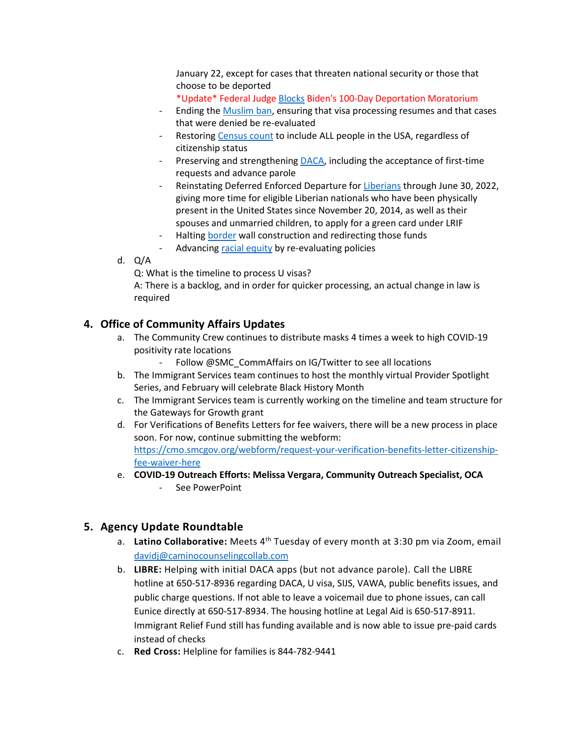January 22, except for cases that threaten national security or those that choose to be deported

\*Update\* Federal Judge [Blocks](https://www.npr.org/2021/01/26/960948480/federal-judge-blocks-bidens-100-day-deportation-moratorium) Biden's 100-Day Deportation Moratorium

- Ending the [Muslim ban,](https://www.whitehouse.gov/briefing-room/presidential-actions/2021/01/20/proclamation-ending-discriminatory-bans-on-entry-to-the-united-states/) ensuring that visa processing resumes and that cases that were denied be re-evaluated
- Restoring [Census count](https://www.whitehouse.gov/briefing-room/presidential-actions/2021/01/20/executive-order-ensuring-a-lawful-and-accurate-enumeration-and-apportionment-pursuant-to-decennial-census/) to include ALL people in the USA, regardless of citizenship status
- Preserving and strengthening [DACA,](https://www.whitehouse.gov/briefing-room/presidential-actions/2021/01/20/preserving-and-fortifying-deferred-action-for-childhood-arrivals-daca/) including the acceptance of first-time requests and advance parole
- Reinstating Deferred Enforced Departure fo[r Liberians](https://www.whitehouse.gov/briefing-room/presidential-actions/2021/01/20/reinstating-deferred-enforced-departure-for-liberians/) through June 30, 2022, giving more time for eligible Liberian nationals who have been physically present in the United States since November 20, 2014, as well as their spouses and unmarried children, to apply for a green card under LRIF
- Halting [border](https://www.whitehouse.gov/briefing-room/presidential-actions/2021/01/20/proclamation-termination-of-emergency-with-respect-to-southern-border-of-united-states-and-redirection-of-funds-diverted-to-border-wall-construction/) wall construction and redirecting those funds
- Advancing [racial equity](https://www.whitehouse.gov/briefing-room/presidential-actions/2021/01/20/executive-order-advancing-racial-equity-and-support-for-underserved-communities-through-the-federal-government/) by re-evaluating policies
- d. Q/A

Q: What is the timeline to process U visas?

A: There is a backlog, and in order for quicker processing, an actual change in law is required

#### **4. Office of Community Affairs Updates**

- a. The Community Crew continues to distribute masks 4 times a week to high COVID-19 positivity rate locations
	- Follow @SMC\_CommAffairs on IG/Twitter to see all locations
- b. The Immigrant Services team continues to host the monthly virtual Provider Spotlight Series, and February will celebrate Black History Month
- c. The Immigrant Services team is currently working on the timeline and team structure for the Gateways for Growth grant
- d. For Verifications of Benefits Letters for fee waivers, there will be a new process in place soon. For now, continue submitting the webform: [https://cmo.smcgov.org/webform/request-your-verification-benefits-letter-citizenship](https://cmo.smcgov.org/webform/request-your-verification-benefits-letter-citizenship-fee-waiver-here)[fee-waiver-here](https://cmo.smcgov.org/webform/request-your-verification-benefits-letter-citizenship-fee-waiver-here)
- e. **COVID-19 Outreach Efforts: Melissa Vergara, Community Outreach Specialist, OCA**  - See PowerPoint

#### **5. Agency Update Roundtable**

- a. **Latino Collaborative:** Meets 4th Tuesday of every month at 3:30 pm via Zoom, email [davidj@caminocounselingcollab.com](mailto:davidj@caminocounselingcollab.com)
- b. **LIBRE:** Helping with initial DACA apps (but not advance parole). Call the LIBRE hotline at 650-517-8936 regarding DACA, U visa, SIJS, VAWA, public benefits issues, and public charge questions. If not able to leave a voicemail due to phone issues, can call Eunice directly at 650-517-8934. The housing hotline at Legal Aid is 650-517-8911. Immigrant Relief Fund still has funding available and is now able to issue pre-paid cards instead of checks
- c. **Red Cross:** Helpline for families is 844-782-9441